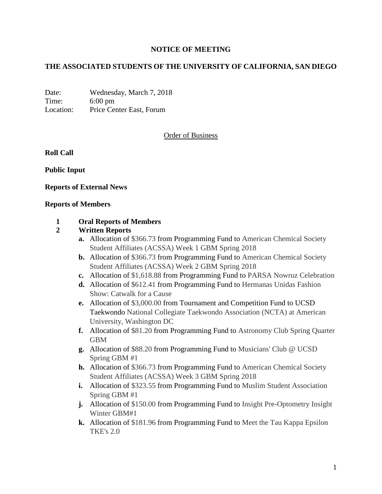#### **NOTICE OF MEETING**

#### **THE ASSOCIATED STUDENTS OF THE UNIVERSITY OF CALIFORNIA, SAN DIEGO**

Date: Wednesday, March 7, 2018 Time: 6:00 pm Location: Price Center East, Forum

#### Order of Business

**Roll Call**

**Public Input**

**Reports of External News**

#### **Reports of Members**

#### **1 Oral Reports of Members**

#### **2 Written Reports**

- **a.** Allocation of \$366.73 from Programming Fund to American Chemical Society Student Affiliates (ACSSA) Week 1 GBM Spring 2018
- **b.** Allocation of \$366.73 from Programming Fund to American Chemical Society Student Affiliates (ACSSA) Week 2 GBM Spring 2018
- **c.** Allocation of \$1,618.88 from Programming Fund to PARSA Nowruz Celebration
- **d.** Allocation of \$612.41 from Programming Fund to Hermanas Unidas Fashion Show: Catwalk for a Cause
- **e.** Allocation of \$3,000.00 from Tournament and Competition Fund to UCSD Taekwondo National Collegiate Taekwondo Association (NCTA) at American University, Washington DC
- **f.** Allocation of \$81.20 from Programming Fund to Astronomy Club Spring Quarter GBM
- **g.** Allocation of \$88.20 from Programming Fund to Musicians' Club @ UCSD Spring GBM #1
- **h.** Allocation of \$366.73 from Programming Fund to American Chemical Society Student Affiliates (ACSSA) Week 3 GBM Spring 2018
- **i.** Allocation of \$323.55 from Programming Fund to Muslim Student Association Spring GBM #1
- **j.** Allocation of \$150.00 from Programming Fund to Insight Pre-Optometry Insight Winter GBM#1
- **k.** Allocation of \$181.96 from Programming Fund to Meet the Tau Kappa Epsilon TKE's 2.0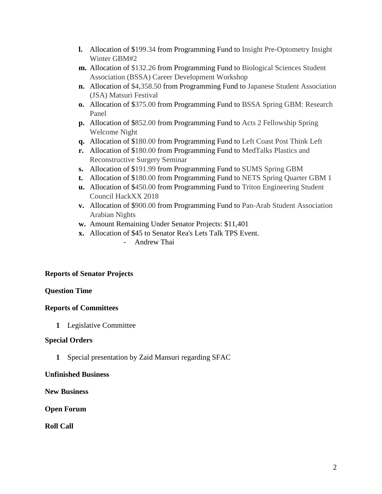- **l.** Allocation of \$199.34 from Programming Fund to Insight Pre-Optometry Insight Winter GBM#2
- **m.** Allocation of \$132.26 from Programming Fund to Biological Sciences Student Association (BSSA) Career Development Workshop
- **n.** Allocation of \$4,358.50 from Programming Fund to Japanese Student Association (JSA) Matsuri Festival
- **o.** Allocation of \$375.00 from Programming Fund to BSSA Spring GBM: Research Panel
- **p.** Allocation of \$852.00 from Programming Fund to Acts 2 Fellowship Spring Welcome Night
- **q.** Allocation of \$180.00 from Programming Fund to Left Coast Post Think Left
- **r.** Allocation of \$180.00 from Programming Fund to MedTalks Plastics and Reconstructive Surgery Seminar
- **s.** Allocation of \$191.99 from Programming Fund to SUMS Spring GBM
- **t.** Allocation of \$180.00 from Programming Fund to NETS Spring Quarter GBM 1
- **u.** Allocation of \$450.00 from Programming Fund to Triton Engineering Student Council HackXX 2018
- **v.** Allocation of \$900.00 from Programming Fund to Pan-Arab Student Association Arabian Nights
- **w.** Amount Remaining Under Senator Projects: \$11,401
- **x.** Allocation of \$45 to Senator Rea's Lets Talk TPS Event.
	- Andrew Thai

## **Reports of Senator Projects**

## **Question Time**

## **Reports of Committees**

**1** Legislative Committee

## **Special Orders**

**1** Special presentation by Zaid Mansuri regarding SFAC

## **Unfinished Business**

**New Business**

**Open Forum**

**Roll Call**